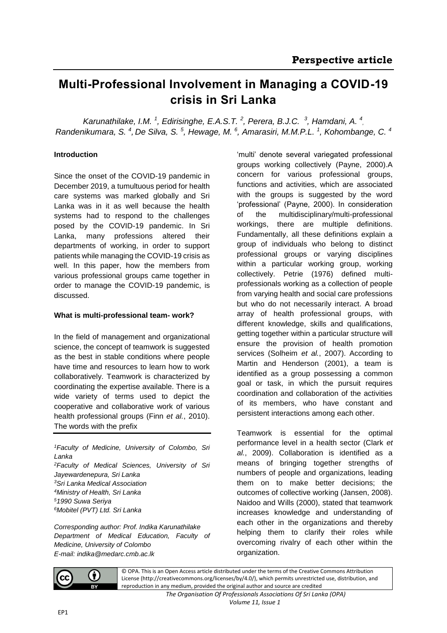# **Multi-Professional Involvement in Managing a COVID-19 crisis in Sri Lanka**

Karunathilake, I.M.<sup>1</sup>, Edirisinghe, E.A.S.T.<sup>2</sup>, Perera, B.J.C.<sup>3</sup>, Hamdani, A.<sup>4</sup>, *Randenikumara, S. <sup>4</sup> , De Silva, S. <sup>5</sup> , Hewage, M. <sup>6</sup> , Amarasiri, M.M.P.L. <sup>1</sup> , Kohombange, C. <sup>4</sup>*

# **Introduction**

Since the onset of the COVID-19 pandemic in December 2019, a tumultuous period for health care systems was marked globally and Sri Lanka was in it as well because the health systems had to respond to the challenges posed by the COVID-19 pandemic. In Sri Lanka, many professions altered their departments of working, in order to support patients while managing the COVID-19 crisis as well. In this paper, how the members from various professional groups came together in order to manage the COVID-19 pandemic, is discussed.

## **What is multi-professional team- work?**

In the field of management and organizational science, the concept of teamwork is suggested as the best in stable conditions where people have time and resources to learn how to work collaboratively. Teamwork is characterized by coordinating the expertise available. There is a wide variety of terms used to depict the cooperative and collaborative work of various health professional groups (Finn *et al.*, 2010). The words with the prefix

*Faculty of Medicine, University of Colombo, Sri Lanka Faculty of Medical Sciences, University of Sri Jayewardenepura, Sri Lanka Sri Lanka Medical Association Ministry of Health, Sri Lanka 1990 Suwa Seriya Mobitel (PVT) Ltd. Sri Lanka*

*Corresponding author: Prof. Indika Karunathilake Department of Medical Education, Faculty of Medicine, University of Colombo E-mail: indika@medarc.cmb.ac.lk*

'multi' denote several variegated professional groups working collectively (Payne, 2000).A concern for various professional groups, functions and activities, which are associated with the groups is suggested by the word 'professional' (Payne, 2000). In consideration of the multidisciplinary/multi-professional workings, there are multiple definitions. Fundamentally, all these definitions explain a group of individuals who belong to distinct professional groups or varying disciplines within a particular working group, working collectively. Petrie (1976) defined multiprofessionals working as a collection of people from varying health and social care professions but who do not necessarily interact. A broad array of health professional groups, with different knowledge, skills and qualifications, getting together within a particular structure will ensure the provision of health promotion services (Solheim *et al.*, 2007). According to Martin and Henderson (2001), a team is identified as a group possessing a common goal or task, in which the pursuit requires coordination and collaboration of the activities of its members, who have constant and persistent interactions among each other.

Teamwork is essential for the optimal performance level in a health sector (Clark *et al.*, 2009). Collaboration is identified as a means of bringing together strengths of numbers of people and organizations, leading them on to make better decisions; the outcomes of collective working (Jansen, 2008). Naidoo and Wills (2000), stated that teamwork increases knowledge and understanding of each other in the organizations and thereby helping them to clarify their roles while overcoming rivalry of each other within the organization.



© OPA. This is an Open Access article distributed under the terms of the Creative Commons Attribution License (http://creativecommons.org/licenses/by/4.0/), which permits unrestricted use, distribution, and reproduction in any medium, provided the original author and source are credited

> *The Organisation Of Professionals Associations Of Sri Lanka (OPA) Volume 11, Issue 1*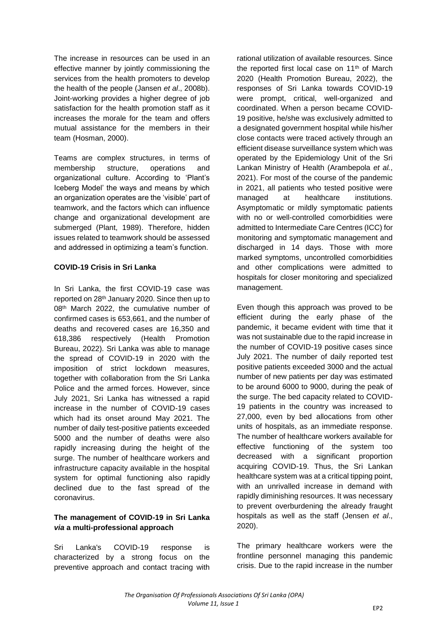The increase in resources can be used in an effective manner by jointly commissioning the services from the health promoters to develop the health of the people (Jansen *et al*., 2008b). Joint-working provides a higher degree of job satisfaction for the health promotion staff as it increases the morale for the team and offers mutual assistance for the members in their team (Hosman, 2000).

Teams are complex structures, in terms of membership structure, operations and organizational culture. According to 'Plant's Iceberg Model' the ways and means by which an organization operates are the 'visible' part of teamwork, and the factors which can influence change and organizational development are submerged (Plant, 1989). Therefore, hidden issues related to teamwork should be assessed and addressed in optimizing a team's function.

## **COVID-19 Crisis in Sri Lanka**

In Sri Lanka, the first COVID-19 case was reported on 28th January 2020. Since then up to 08<sup>th</sup> March 2022, the cumulative number of confirmed cases is 653,661, and the number of deaths and recovered cases are 16,350 and 618,386 respectively (Health Promotion Bureau, 2022). Sri Lanka was able to manage the spread of COVID-19 in 2020 with the imposition of strict lockdown measures, together with collaboration from the Sri Lanka Police and the armed forces. However, since July 2021, Sri Lanka has witnessed a rapid increase in the number of COVID-19 cases which had its onset around May 2021. The number of daily test-positive patients exceeded 5000 and the number of deaths were also rapidly increasing during the height of the surge. The number of healthcare workers and infrastructure capacity available in the hospital system for optimal functioning also rapidly declined due to the fast spread of the coronavirus.

# **The management of COVID-19 in Sri Lanka**  *via* **a multi-professional approach**

Sri Lanka's COVID-19 response is characterized by a strong focus on the preventive approach and contact tracing with rational utilization of available resources. Since the reported first local case on 11<sup>th</sup> of March 2020 (Health Promotion Bureau, 2022), the responses of Sri Lanka towards COVID-19 were prompt, critical, well-organized and coordinated. When a person became COVID-19 positive, he/she was exclusively admitted to a designated government hospital while his/her close contacts were traced actively through an efficient disease surveillance system which was operated by the Epidemiology Unit of the Sri Lankan Ministry of Health (Arambepola *et al.*, 2021). For most of the course of the pandemic in 2021, all patients who tested positive were managed at healthcare institutions. Asymptomatic or mildly symptomatic patients with no or well-controlled comorbidities were admitted to Intermediate Care Centres (ICC) for monitoring and symptomatic management and discharged in 14 days. Those with more marked symptoms, uncontrolled comorbidities and other complications were admitted to hospitals for closer monitoring and specialized management.

Even though this approach was proved to be efficient during the early phase of the pandemic, it became evident with time that it was not sustainable due to the rapid increase in the number of COVID-19 positive cases since July 2021. The number of daily reported test positive patients exceeded 3000 and the actual number of new patients per day was estimated to be around 6000 to 9000, during the peak of the surge. The bed capacity related to COVID-19 patients in the country was increased to 27,000, even by bed allocations from other units of hospitals, as an immediate response. The number of healthcare workers available for effective functioning of the system too decreased with a significant proportion acquiring COVID-19. Thus, the Sri Lankan healthcare system was at a critical tipping point, with an unrivalled increase in demand with rapidly diminishing resources. It was necessary to prevent overburdening the already fraught hospitals as well as the staff (Jensen *et al*., 2020).

The primary healthcare workers were the frontline personnel managing this pandemic crisis. Due to the rapid increase in the number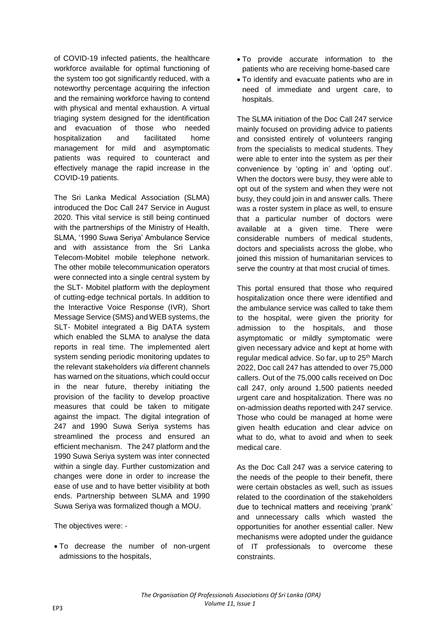of COVID-19 infected patients, the healthcare workforce available for optimal functioning of the system too got significantly reduced, with a noteworthy percentage acquiring the infection and the remaining workforce having to contend with physical and mental exhaustion. A virtual triaging system designed for the identification and evacuation of those who needed hospitalization and facilitated home management for mild and asymptomatic patients was required to counteract and effectively manage the rapid increase in the COVID-19 patients.

The Sri Lanka Medical Association (SLMA) introduced the Doc Call 247 Service in August 2020. This vital service is still being continued with the partnerships of the Ministry of Health. SLMA, '1990 Suwa Seriya' Ambulance Service and with assistance from the Sri Lanka Telecom-Mobitel mobile telephone network. The other mobile telecommunication operators were connected into a single central system by the SLT- Mobitel platform with the deployment of cutting-edge technical portals. In addition to the Interactive Voice Response (IVR), Short Message Service (SMS) and WEB systems, the SLT- Mobitel integrated a Big DATA system which enabled the SLMA to analyse the data reports in real time. The implemented alert system sending periodic monitoring updates to the relevant stakeholders *via* different channels has warned on the situations, which could occur in the near future, thereby initiating the provision of the facility to develop proactive measures that could be taken to mitigate against the impact. The digital integration of 247 and 1990 Suwa Seriya systems has streamlined the process and ensured an efficient mechanism. The 247 platform and the 1990 Suwa Seriya system was inter connected within a single day. Further customization and changes were done in order to increase the ease of use and to have better visibility at both ends. Partnership between SLMA and 1990 Suwa Seriya was formalized though a MOU.

The objectives were: -

 To decrease the number of non-urgent admissions to the hospitals,

- To provide accurate information to the patients who are receiving home-based care
- To identify and evacuate patients who are in need of immediate and urgent care, to hospitals.

The SLMA initiation of the Doc Call 247 service mainly focused on providing advice to patients and consisted entirely of volunteers ranging from the specialists to medical students. They were able to enter into the system as per their convenience by 'opting in' and 'opting out'. When the doctors were busy, they were able to opt out of the system and when they were not busy, they could join in and answer calls. There was a roster system in place as well, to ensure that a particular number of doctors were available at a given time. There were considerable numbers of medical students, doctors and specialists across the globe, who joined this mission of humanitarian services to serve the country at that most crucial of times.

This portal ensured that those who required hospitalization once there were identified and the ambulance service was called to take them to the hospital, were given the priority for admission to the hospitals, and those asymptomatic or mildly symptomatic were given necessary advice and kept at home with regular medical advice. So far, up to 25<sup>th</sup> March 2022, Doc call 247 has attended to over 75,000 callers. Out of the 75,000 calls received on Doc call 247, only around 1,500 patients needed urgent care and hospitalization. There was no on-admission deaths reported with 247 service. Those who could be managed at home were given health education and clear advice on what to do, what to avoid and when to seek medical care.

As the Doc Call 247 was a service catering to the needs of the people to their benefit, there were certain obstacles as well, such as issues related to the coordination of the stakeholders due to technical matters and receiving 'prank' and unnecessary calls which wasted the opportunities for another essential caller. New mechanisms were adopted under the guidance of IT professionals to overcome these constraints.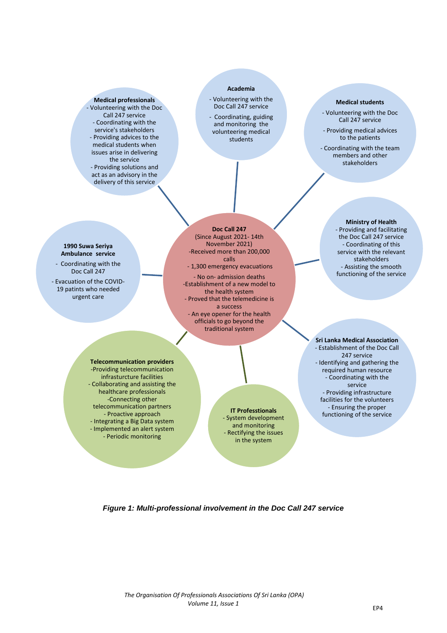### **Medical professionals**

- Volunteering with the Doc Call 247 service - Coordinating with the service's stakeholders - Providing advices to the medical students when issues arise in delivering the service - Providing solutions and act as an advisory in the delivery of this service

## **Academia**

- Volunteering with the Doc Call 247 service
- Coordinating, guiding and monitoring the volunteering medical students

## **Medical students**

- Volunteering with the Doc Call 247 service
- Providing medical advices to the patients

- Coordinating with the team members and other stakeholders

#### **1990 Suwa Seriya Ambulance service**

- Coordinating with the Doc Call 247

- Evacuation of the COVID-19 patints who needed urgent care

**Doc Call 247** (Since August 2021- 14th November 2021) -Received more than 200,000 calls - 1,300 emergency evacuations

- No on- admission deaths -Establishment of a new model to the health system - Proved that the telemedicine is a success - An eye opener for the health officials to go beyond the traditional system

#### **Ministry of Health**  - Providing and facilitating the Doc Call 247 service - Coordinating of this service with the relevant stakeholders - Assisting the smooth functioning of the service

**Telecommunication providers** -Providing telecommunication infrasturcture facilities - Collaborating and assisting the healthcare professionals -Connecting other telecommunication partners - Proactive approach - Integrating a Big Data system - Implemented an alert system - Periodic monitoring

- System development and monitoring - Rectifying the issues in the system

**Sri Lanka Medical Association** - Establishment of the Doc Call 247 service - Identifying and gathering the required human resource - Coordinating with the service - Providing infrastructure facilities for the volunteers - Ensuring the proper **IT Professtionals**<br>wtem development<br>**IT Professtionals** 

## *Figure 1: Multi-professional involvement in the Doc Call 247 service*